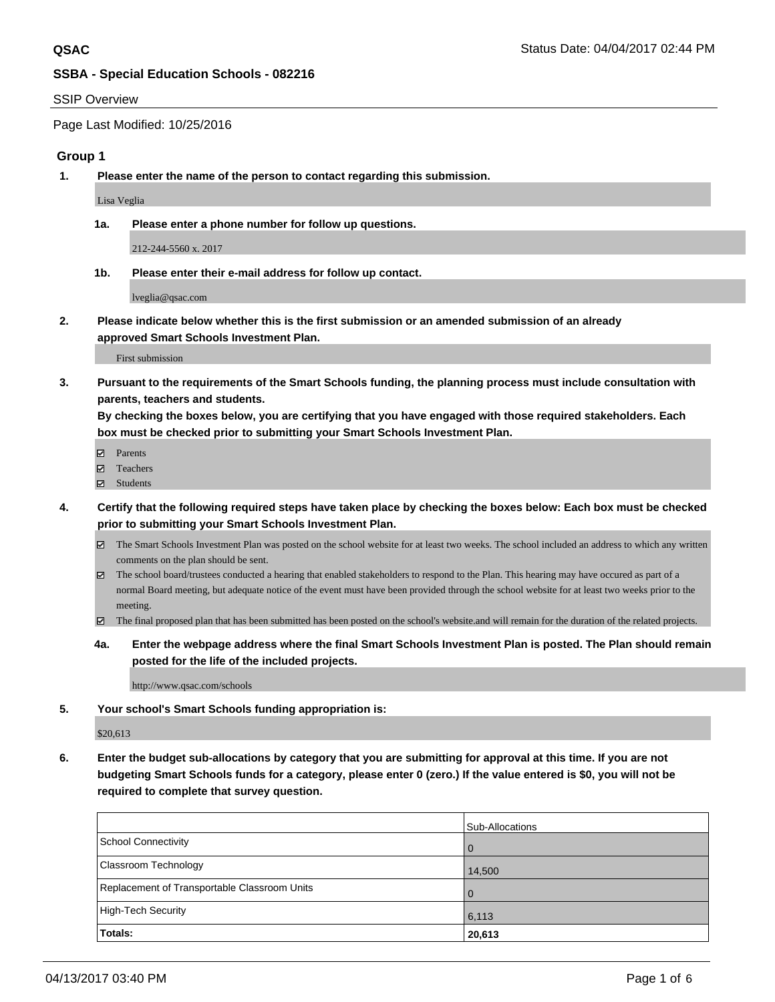#### SSIP Overview

Page Last Modified: 10/25/2016

### **Group 1**

**1. Please enter the name of the person to contact regarding this submission.**

Lisa Veglia

**1a. Please enter a phone number for follow up questions.**

212-244-5560 x. 2017

**1b. Please enter their e-mail address for follow up contact.**

lveglia@qsac.com

**2. Please indicate below whether this is the first submission or an amended submission of an already approved Smart Schools Investment Plan.**

First submission

**3. Pursuant to the requirements of the Smart Schools funding, the planning process must include consultation with parents, teachers and students.**

**By checking the boxes below, you are certifying that you have engaged with those required stakeholders. Each box must be checked prior to submitting your Smart Schools Investment Plan.**

- **Ø** Parents
- Teachers
- Students
- **4. Certify that the following required steps have taken place by checking the boxes below: Each box must be checked prior to submitting your Smart Schools Investment Plan.**
	- The Smart Schools Investment Plan was posted on the school website for at least two weeks. The school included an address to which any written comments on the plan should be sent.
	- The school board/trustees conducted a hearing that enabled stakeholders to respond to the Plan. This hearing may have occured as part of a normal Board meeting, but adequate notice of the event must have been provided through the school website for at least two weeks prior to the meeting.
	- The final proposed plan that has been submitted has been posted on the school's website.and will remain for the duration of the related projects.
	- **4a. Enter the webpage address where the final Smart Schools Investment Plan is posted. The Plan should remain posted for the life of the included projects.**

http://www.qsac.com/schools

**5. Your school's Smart Schools funding appropriation is:**

\$20,613

**6. Enter the budget sub-allocations by category that you are submitting for approval at this time. If you are not budgeting Smart Schools funds for a category, please enter 0 (zero.) If the value entered is \$0, you will not be required to complete that survey question.**

|                                              | Sub-Allocations |
|----------------------------------------------|-----------------|
| School Connectivity                          |                 |
| Classroom Technology                         | 14,500          |
| Replacement of Transportable Classroom Units |                 |
| High-Tech Security                           | 6,113           |
| Totals:                                      | 20,613          |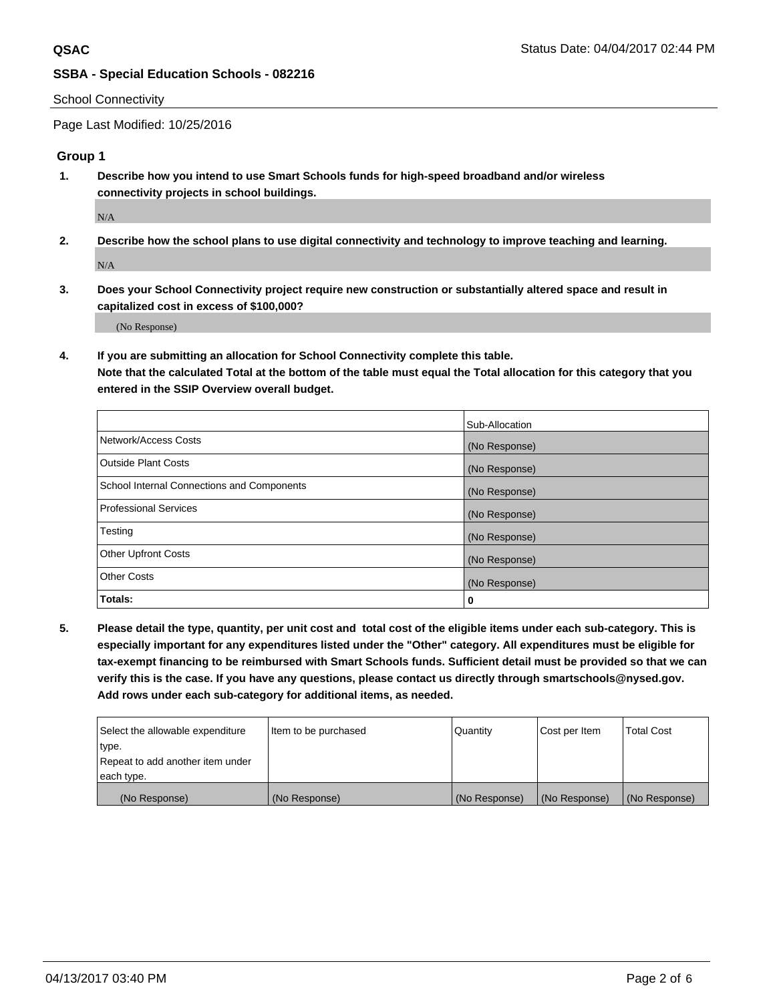## School Connectivity

Page Last Modified: 10/25/2016

# **Group 1**

**1. Describe how you intend to use Smart Schools funds for high-speed broadband and/or wireless connectivity projects in school buildings.**

N/A

**2. Describe how the school plans to use digital connectivity and technology to improve teaching and learning.**

 $N/A$ 

**3. Does your School Connectivity project require new construction or substantially altered space and result in capitalized cost in excess of \$100,000?**

(No Response)

**4. If you are submitting an allocation for School Connectivity complete this table.**

**Note that the calculated Total at the bottom of the table must equal the Total allocation for this category that you entered in the SSIP Overview overall budget.** 

|                                            | Sub-Allocation |
|--------------------------------------------|----------------|
| Network/Access Costs                       | (No Response)  |
| Outside Plant Costs                        | (No Response)  |
| School Internal Connections and Components | (No Response)  |
| <b>Professional Services</b>               | (No Response)  |
| Testing                                    | (No Response)  |
| <b>Other Upfront Costs</b>                 | (No Response)  |
| <b>Other Costs</b>                         | (No Response)  |
| Totals:                                    | 0              |

**5. Please detail the type, quantity, per unit cost and total cost of the eligible items under each sub-category. This is especially important for any expenditures listed under the "Other" category. All expenditures must be eligible for tax-exempt financing to be reimbursed with Smart Schools funds. Sufficient detail must be provided so that we can verify this is the case. If you have any questions, please contact us directly through smartschools@nysed.gov. Add rows under each sub-category for additional items, as needed.**

| Select the allowable expenditure | Item to be purchased | Quantity      | Cost per Item | Total Cost    |
|----------------------------------|----------------------|---------------|---------------|---------------|
| type.                            |                      |               |               |               |
| Repeat to add another item under |                      |               |               |               |
| each type.                       |                      |               |               |               |
| (No Response)                    | (No Response)        | (No Response) | (No Response) | (No Response) |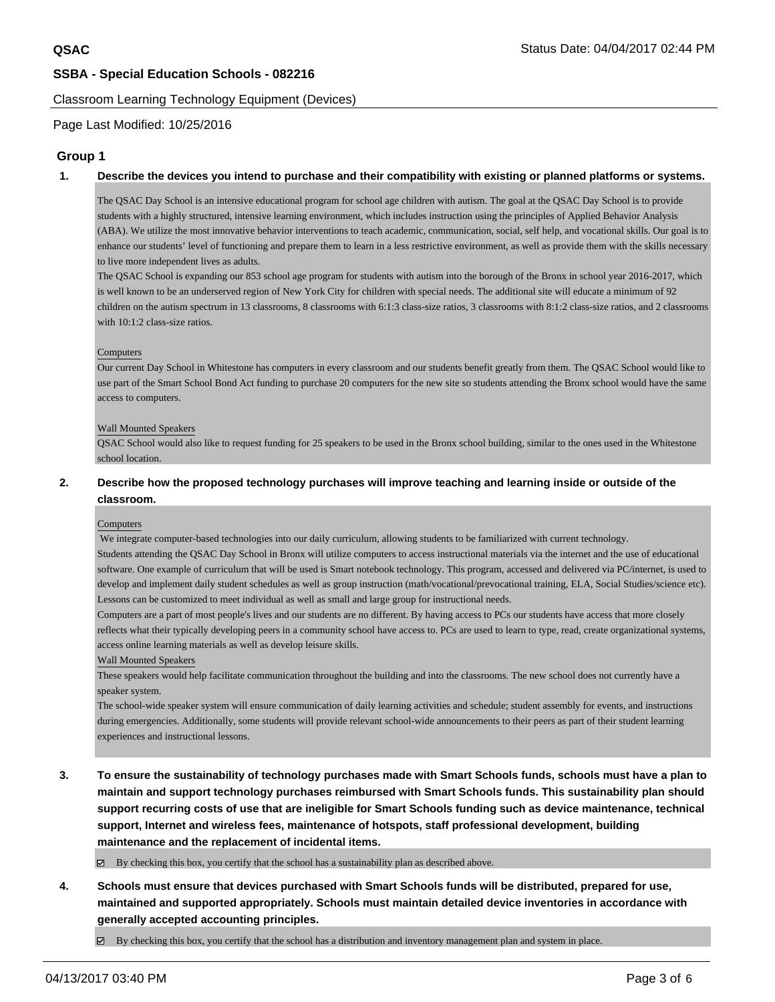#### Classroom Learning Technology Equipment (Devices)

Page Last Modified: 10/25/2016

# **Group 1**

#### **1. Describe the devices you intend to purchase and their compatibility with existing or planned platforms or systems.**

The QSAC Day School is an intensive educational program for school age children with autism. The goal at the QSAC Day School is to provide students with a highly structured, intensive learning environment, which includes instruction using the principles of Applied Behavior Analysis (ABA). We utilize the most innovative behavior interventions to teach academic, communication, social, self help, and vocational skills. Our goal is to enhance our students' level of functioning and prepare them to learn in a less restrictive environment, as well as provide them with the skills necessary to live more independent lives as adults.

The QSAC School is expanding our 853 school age program for students with autism into the borough of the Bronx in school year 2016-2017, which is well known to be an underserved region of New York City for children with special needs. The additional site will educate a minimum of 92 children on the autism spectrum in 13 classrooms, 8 classrooms with 6:1:3 class-size ratios, 3 classrooms with 8:1:2 class-size ratios, and 2 classrooms with 10:1:2 class-size ratios.

#### Computers

Our current Day School in Whitestone has computers in every classroom and our students benefit greatly from them. The QSAC School would like to use part of the Smart School Bond Act funding to purchase 20 computers for the new site so students attending the Bronx school would have the same access to computers.

#### Wall Mounted Speakers

QSAC School would also like to request funding for 25 speakers to be used in the Bronx school building, similar to the ones used in the Whitestone school location.

## **2. Describe how the proposed technology purchases will improve teaching and learning inside or outside of the classroom.**

#### **Computers**

We integrate computer-based technologies into our daily curriculum, allowing students to be familiarized with current technology.

Students attending the QSAC Day School in Bronx will utilize computers to access instructional materials via the internet and the use of educational software. One example of curriculum that will be used is Smart notebook technology. This program, accessed and delivered via PC/internet, is used to develop and implement daily student schedules as well as group instruction (math/vocational/prevocational training, ELA, Social Studies/science etc). Lessons can be customized to meet individual as well as small and large group for instructional needs.

Computers are a part of most people's lives and our students are no different. By having access to PCs our students have access that more closely reflects what their typically developing peers in a community school have access to. PCs are used to learn to type, read, create organizational systems, access online learning materials as well as develop leisure skills.

#### Wall Mounted Speakers

These speakers would help facilitate communication throughout the building and into the classrooms. The new school does not currently have a speaker system.

The school-wide speaker system will ensure communication of daily learning activities and schedule; student assembly for events, and instructions during emergencies. Additionally, some students will provide relevant school-wide announcements to their peers as part of their student learning experiences and instructional lessons.

**3. To ensure the sustainability of technology purchases made with Smart Schools funds, schools must have a plan to maintain and support technology purchases reimbursed with Smart Schools funds. This sustainability plan should support recurring costs of use that are ineligible for Smart Schools funding such as device maintenance, technical support, Internet and wireless fees, maintenance of hotspots, staff professional development, building maintenance and the replacement of incidental items.**

By checking this box, you certify that the school has a sustainability plan as described above.

**4. Schools must ensure that devices purchased with Smart Schools funds will be distributed, prepared for use, maintained and supported appropriately. Schools must maintain detailed device inventories in accordance with generally accepted accounting principles.**

By checking this box, you certify that the school has a distribution and inventory management plan and system in place.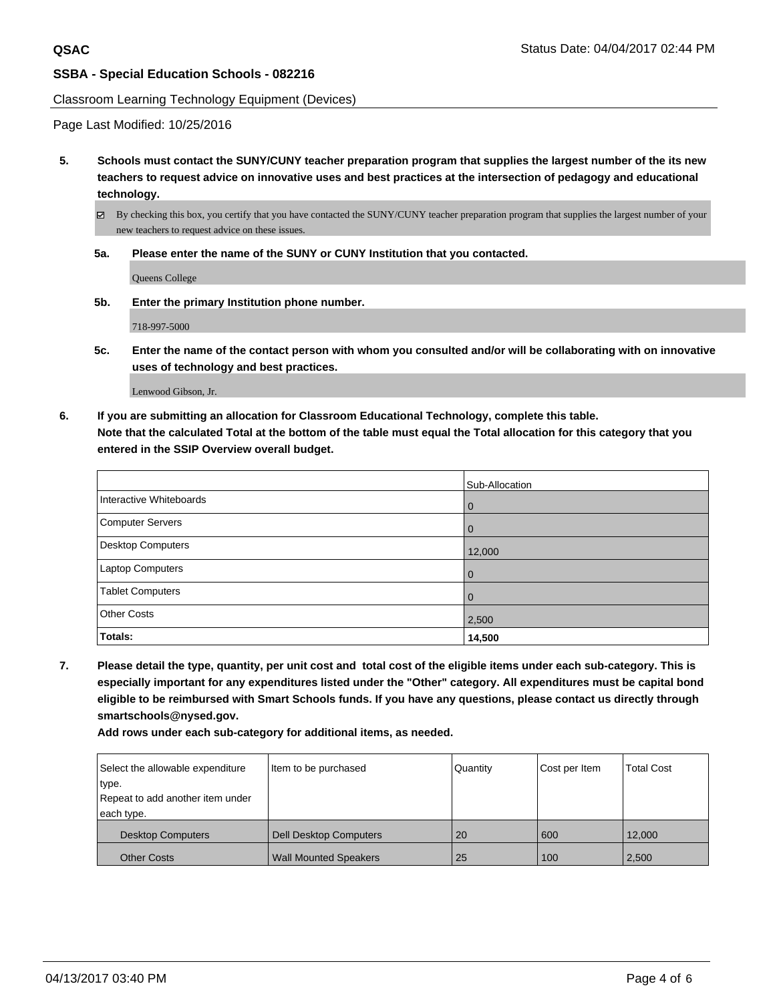#### Classroom Learning Technology Equipment (Devices)

Page Last Modified: 10/25/2016

**5. Schools must contact the SUNY/CUNY teacher preparation program that supplies the largest number of the its new teachers to request advice on innovative uses and best practices at the intersection of pedagogy and educational technology.**

By checking this box, you certify that you have contacted the SUNY/CUNY teacher preparation program that supplies the largest number of your new teachers to request advice on these issues.

**5a. Please enter the name of the SUNY or CUNY Institution that you contacted.**

Queens College

**5b. Enter the primary Institution phone number.**

718-997-5000

**5c. Enter the name of the contact person with whom you consulted and/or will be collaborating with on innovative uses of technology and best practices.**

Lenwood Gibson, Jr.

**6. If you are submitting an allocation for Classroom Educational Technology, complete this table. Note that the calculated Total at the bottom of the table must equal the Total allocation for this category that you entered in the SSIP Overview overall budget.**

|                          | Sub-Allocation |
|--------------------------|----------------|
| Interactive Whiteboards  | l 0            |
| Computer Servers         | $\overline{0}$ |
| <b>Desktop Computers</b> | 12,000         |
| Laptop Computers         | l 0            |
| <b>Tablet Computers</b>  | l 0            |
| <b>Other Costs</b>       | 2,500          |
| Totals:                  | 14,500         |

**7. Please detail the type, quantity, per unit cost and total cost of the eligible items under each sub-category. This is especially important for any expenditures listed under the "Other" category. All expenditures must be capital bond eligible to be reimbursed with Smart Schools funds. If you have any questions, please contact us directly through smartschools@nysed.gov.**

**Add rows under each sub-category for additional items, as needed.**

| Select the allowable expenditure | Item to be purchased          | Quantity | Cost per Item | <b>Total Cost</b> |
|----------------------------------|-------------------------------|----------|---------------|-------------------|
| type.                            |                               |          |               |                   |
| Repeat to add another item under |                               |          |               |                   |
| each type.                       |                               |          |               |                   |
| <b>Desktop Computers</b>         | <b>Dell Desktop Computers</b> | 20       | 600           | 12.000            |
| <b>Other Costs</b>               | <b>Wall Mounted Speakers</b>  | 25       | 100           | 2,500             |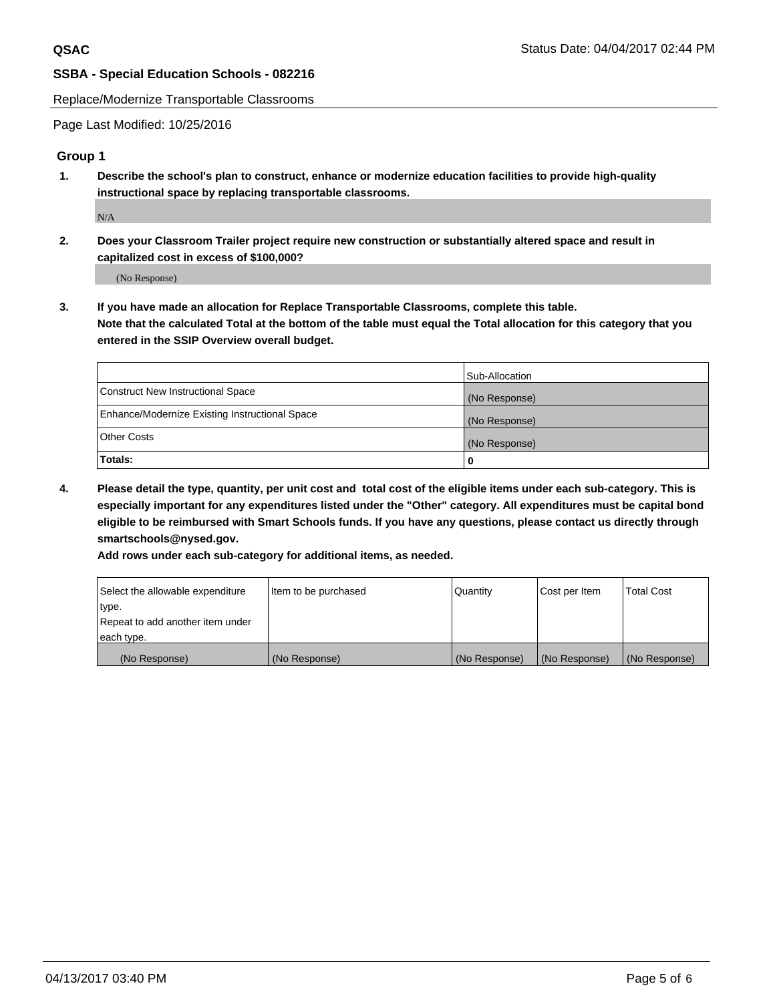Replace/Modernize Transportable Classrooms

Page Last Modified: 10/25/2016

## **Group 1**

**1. Describe the school's plan to construct, enhance or modernize education facilities to provide high-quality instructional space by replacing transportable classrooms.**

N/A

**2. Does your Classroom Trailer project require new construction or substantially altered space and result in capitalized cost in excess of \$100,000?**

(No Response)

**3. If you have made an allocation for Replace Transportable Classrooms, complete this table. Note that the calculated Total at the bottom of the table must equal the Total allocation for this category that you entered in the SSIP Overview overall budget.**

|                                                | Sub-Allocation |
|------------------------------------------------|----------------|
| Construct New Instructional Space              | (No Response)  |
| Enhance/Modernize Existing Instructional Space | (No Response)  |
| <b>Other Costs</b>                             | (No Response)  |
| <b>Totals:</b>                                 |                |

**4. Please detail the type, quantity, per unit cost and total cost of the eligible items under each sub-category. This is especially important for any expenditures listed under the "Other" category. All expenditures must be capital bond eligible to be reimbursed with Smart Schools funds. If you have any questions, please contact us directly through smartschools@nysed.gov.**

**Add rows under each sub-category for additional items, as needed.**

| Select the allowable expenditure | Item to be purchased | Quantity      | Cost per Item | <b>Total Cost</b> |
|----------------------------------|----------------------|---------------|---------------|-------------------|
| type.                            |                      |               |               |                   |
| Repeat to add another item under |                      |               |               |                   |
| each type.                       |                      |               |               |                   |
| (No Response)                    | (No Response)        | (No Response) | (No Response) | (No Response)     |